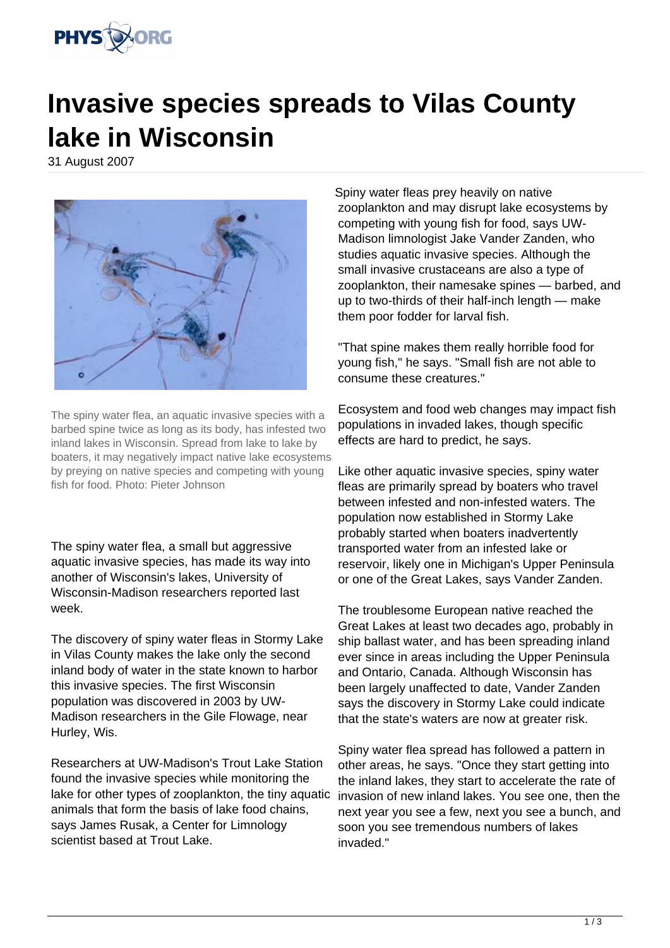

## **Invasive species spreads to Vilas County lake in Wisconsin**

31 August 2007



The spiny water flea, an aquatic invasive species with a barbed spine twice as long as its body, has infested two inland lakes in Wisconsin. Spread from lake to lake by boaters, it may negatively impact native lake ecosystems by preying on native species and competing with young fish for food. Photo: Pieter Johnson

The spiny water flea, a small but aggressive aquatic invasive species, has made its way into another of Wisconsin's lakes, University of Wisconsin-Madison researchers reported last week.

The discovery of spiny water fleas in Stormy Lake in Vilas County makes the lake only the second inland body of water in the state known to harbor this invasive species. The first Wisconsin population was discovered in 2003 by UW-Madison researchers in the Gile Flowage, near Hurley, Wis.

Researchers at UW-Madison's Trout Lake Station found the invasive species while monitoring the lake for other types of zooplankton, the tiny aquatic animals that form the basis of lake food chains, says James Rusak, a Center for Limnology scientist based at Trout Lake.

Spiny water fleas prey heavily on native zooplankton and may disrupt lake ecosystems by competing with young fish for food, says UW-Madison limnologist Jake Vander Zanden, who studies aquatic invasive species. Although the small invasive crustaceans are also a type of zooplankton, their namesake spines — barbed, and up to two-thirds of their half-inch length — make them poor fodder for larval fish.

"That spine makes them really horrible food for young fish," he says. "Small fish are not able to consume these creatures."

Ecosystem and food web changes may impact fish populations in invaded lakes, though specific effects are hard to predict, he says.

Like other aquatic invasive species, spiny water fleas are primarily spread by boaters who travel between infested and non-infested waters. The population now established in Stormy Lake probably started when boaters inadvertently transported water from an infested lake or reservoir, likely one in Michigan's Upper Peninsula or one of the Great Lakes, says Vander Zanden.

The troublesome European native reached the Great Lakes at least two decades ago, probably in ship ballast water, and has been spreading inland ever since in areas including the Upper Peninsula and Ontario, Canada. Although Wisconsin has been largely unaffected to date, Vander Zanden says the discovery in Stormy Lake could indicate that the state's waters are now at greater risk.

Spiny water flea spread has followed a pattern in other areas, he says. "Once they start getting into the inland lakes, they start to accelerate the rate of invasion of new inland lakes. You see one, then the next year you see a few, next you see a bunch, and soon you see tremendous numbers of lakes invaded."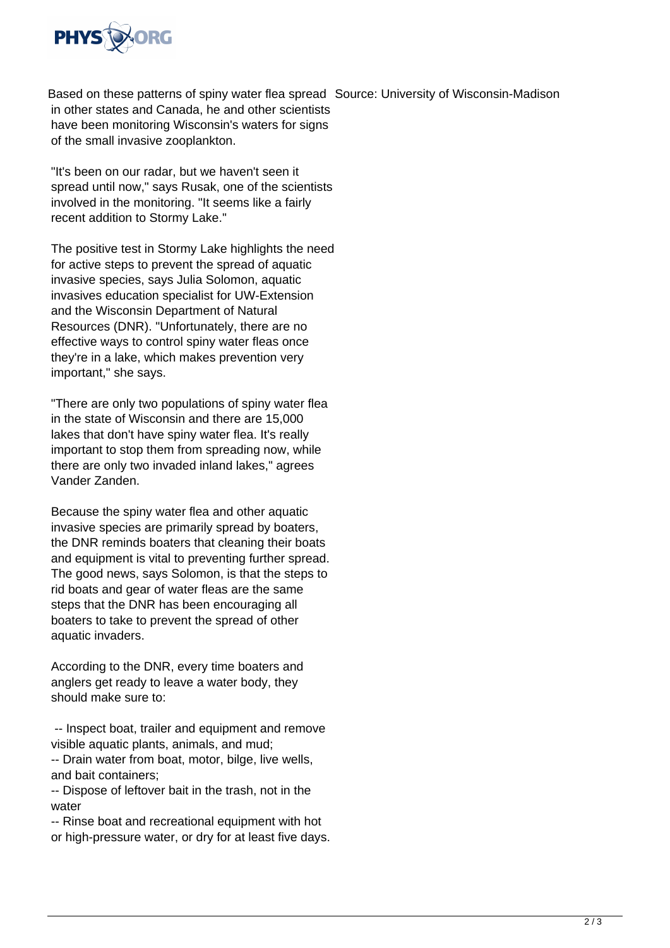

Based on these patterns of spiny water flea spread Source: University of Wisconsin-Madison in other states and Canada, he and other scientists have been monitoring Wisconsin's waters for signs of the small invasive zooplankton.

"It's been on our radar, but we haven't seen it spread until now," says Rusak, one of the scientists involved in the monitoring. "It seems like a fairly recent addition to Stormy Lake."

The positive test in Stormy Lake highlights the need for active steps to prevent the spread of aquatic invasive species, says Julia Solomon, aquatic invasives education specialist for UW-Extension and the Wisconsin Department of Natural Resources (DNR). "Unfortunately, there are no effective ways to control spiny water fleas once they're in a lake, which makes prevention very important," she says.

"There are only two populations of spiny water flea in the state of Wisconsin and there are 15,000 lakes that don't have spiny water flea. It's really important to stop them from spreading now, while there are only two invaded inland lakes," agrees Vander Zanden.

Because the spiny water flea and other aquatic invasive species are primarily spread by boaters, the DNR reminds boaters that cleaning their boats and equipment is vital to preventing further spread. The good news, says Solomon, is that the steps to rid boats and gear of water fleas are the same steps that the DNR has been encouraging all boaters to take to prevent the spread of other aquatic invaders.

According to the DNR, every time boaters and anglers get ready to leave a water body, they should make sure to:

 -- Inspect boat, trailer and equipment and remove visible aquatic plants, animals, and mud;

-- Drain water from boat, motor, bilge, live wells, and bait containers;

-- Dispose of leftover bait in the trash, not in the water

-- Rinse boat and recreational equipment with hot or high-pressure water, or dry for at least five days.